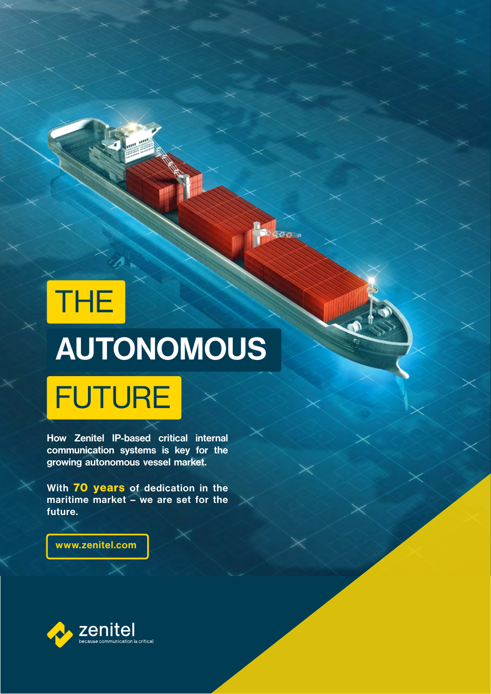# AUTONOMOUS FUTURE THE

daas e

How Zenitel IP-based critical internal communication systems is key for the growing autonomous vessel market.

With 70 years of dedication in the maritime market – we are set for the future.

www.zenitel.com

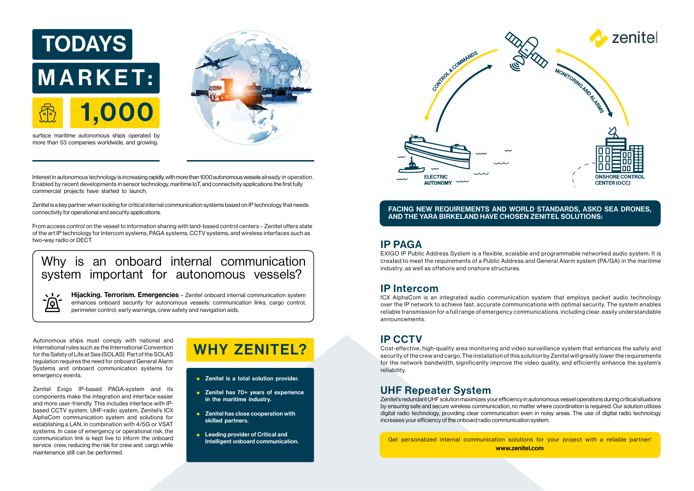Autonomous ships must comply with national and international rules such as the International Convention for the Safety of Life at Sea (SOLAS). Part of the SOLAS regulation requires the need for onboard General Alarm Systems and onboard communication systems for emergency events.

 $\sqrt{1}$ <u> බ</u>

Zenitel Exigo IP-based PAGA-system and its components make the integration and interface easier and more user-friendly. This includes interface with IPbased CCTV system, UHF-radio system, Zenitel's ICX AlphaCom communication system and solutions for establishing a LAN, in combination with 4/5G or VSAT systems. In case of emergency or operational risk, the communication link is kept live to inform the onboard service crew, reducing the risk for crew and cargo while maintenance still can be performed.

From access control on the vessel to information sharing with land-based control centers – Zenitel offers state of the art IP technology for Intercom systems, PAGA systems, CCTV systems, and wireless interfaces such as two-way radio or DECT.<br><u>[IP PAGA](https://www.zenitel.com/product?system=25)</u>

# WHY ZENITEL?

- **•** Zenitel is a total solution provider.
- Zenitel has 70+ years of experience in the maritime industry.
- **•** Zenitel has close cooperation with skilled partners.
- **•** Leading provider of Critical and



Interest in autonomous technology is increasing rapidly, with more than 1000 autonomous vessels already in operation. Enabled by recent developments in sensor technology, maritime IoT, and connectivity applications the first fully commercial projects have started to launch.

Zenitel is a key partner when looking for critical internal communication systems based on IP technology that needs connectivity for operational and security applications.

> Intelligent onboard communication. The state of the state of the state of the munication solutions for your project with a reliable partner! www.zenitel.com

EXIGO IP Public Address System is a flexible, scalable and programmable networked audio system. It is created to meet the requirements of a Public Address and General Alarm system (PA/GA) in the maritime industry, as well as offshore and onshore structures.

### [IP Intercom](https://www.zenitel.com/product?system=230)

Hijacking. Terrorism. Emergencies - Zenitel onboard internal communication system enhances onboard security for autonomous vessels: communication links, cargo control, perimeter control, early warnings, crew safety and navigation aids.

ICX AlphaCom is an integrated audio communication system that employs packet audio technology over the IP network to achieve fast, accurate communications with optimal security. The system enables reliable transmission for a full range of emergency communications, including clear, easily understandable announcements.

### [IP CCTV](https://www.zenitel.com/product?system=914)

Cost-effective, high-quality area monitoring and video surveillance system that enhances the safety and security of the crew and cargo. The installation of this solution by Zenitel will greatly lower the requirements for the network bandwidth, significantly improve the video quality, and efficiently enhance the system's reliability.

### [UHF Repeater System](https://www.zenitel.com/product?system=154)

Zenitel's redundant UHF solution maximizes your efficiency in autonomous vessel operations during critical situations by ensuring safe and secure wireless communication, no matter where coordination is required. Our solution utilizes digital radio technology, providing clear communication even in noisy areas. The use of digital radio technology increases your efficiency of the onboard radio communication system.

### FACING NEW REQUIREMENTS AND WORLD STANDARDS, ASKO SEA DRONES, AND THE YARA BIRKELAND HAVE CHOSEN ZENITEL SOLUTIONS:



## Why is an onboard internal communication system important for autonomous vessels?

surface maritime autonomous ships operated by more than 53 companies worldwide, and growing.